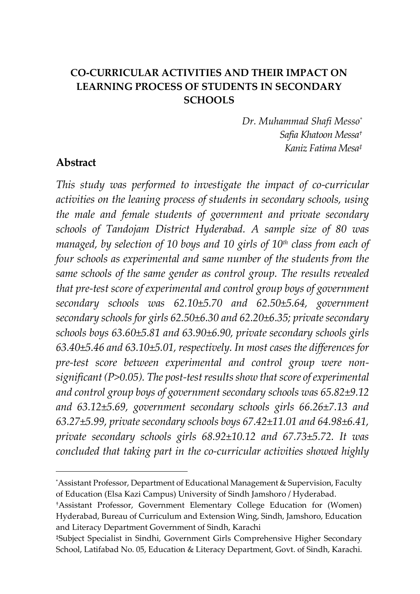# **CO-CURRICULAR ACTIVITIES AND THEIR IMPACT ON LEARNING PROCESS OF STUDENTS IN SECONDARY SCHOOLS**

*Dr. Muhammad Shafi Messo\* Safia Khatoon Messa† Kaniz Fatima Mesa‡*

## **Abstract**

 $\overline{a}$ 

*This study was performed to investigate the impact of co-curricular activities on the leaning process of students in secondary schools, using the male and female students of government and private secondary schools of Tandojam District Hyderabad. A sample size of 80 was managed, by selection of 10 boys and 10 girls of 10th class from each of four schools as experimental and same number of the students from the same schools of the same gender as control group. The results revealed that pre-test score of experimental and control group boys of government secondary schools was 62.10±5.70 and 62.50±5.64, government secondary schools for girls 62.50±6.30 and 62.20±6.35; private secondary schools boys 63.60±5.81 and 63.90±6.90, private secondary schools girls 63.40±5.46 and 63.10±5.01, respectively. In most cases the differences for pre-test score between experimental and control group were nonsignificant (P>0.05). The post-test results show that score of experimental and control group boys of government secondary schools was 65.82±9.12 and 63.12±5.69, government secondary schools girls 66.26±7.13 and 63.27±5.99, private secondary schools boys 67.42±11.01 and 64.98±6.41, private secondary schools girls 68.92±10.12 and 67.73±5.72. It was concluded that taking part in the co-curricular activities showed highly* 

<sup>\*</sup>Assistant Professor, Department of Educational Management & Supervision, Faculty of Education (Elsa Kazi Campus) University of Sindh Jamshoro / Hyderabad.

<sup>†</sup>Assistant Professor, Government Elementary College Education for (Women) Hyderabad, Bureau of Curriculum and Extension Wing, Sindh, Jamshoro, Education and Literacy Department Government of Sindh, Karachi

<sup>‡</sup>Subject Specialist in Sindhi, Government Girls Comprehensive Higher Secondary School, Latifabad No. 05, Education & Literacy Department, Govt. of Sindh, Karachi.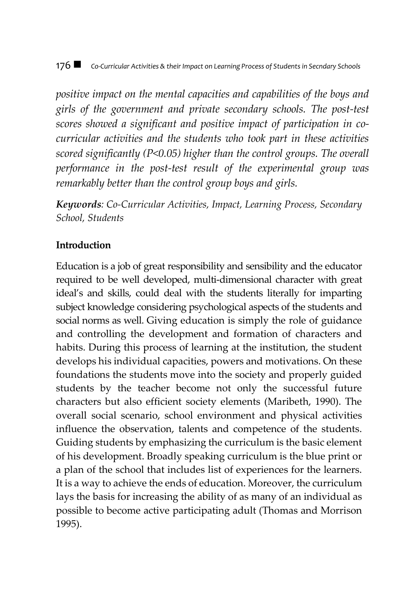#### 176  $\blacksquare$  Co-Curricular Activities & their Impact on Learning Process of Students in Secndary Schools

*positive impact on the mental capacities and capabilities of the boys and girls of the government and private secondary schools. The post-test scores showed a significant and positive impact of participation in cocurricular activities and the students who took part in these activities scored significantly (P<0.05) higher than the control groups. The overall performance in the post-test result of the experimental group was remarkably better than the control group boys and girls.*

*Keywords: Co-Curricular Activities, Impact, Learning Process, Secondary School, Students*

## **Introduction**

Education is a job of great responsibility and sensibility and the educator required to be well developed, multi-dimensional character with great ideal's and skills, could deal with the students literally for imparting subject knowledge considering psychological aspects of the students and social norms as well. Giving education is simply the role of guidance and controlling the development and formation of characters and habits. During this process of learning at the institution, the student develops his individual capacities, powers and motivations. On these foundations the students move into the society and properly guided students by the teacher become not only the successful future characters but also efficient society elements (Maribeth, 1990). The overall social scenario, school environment and physical activities influence the observation, talents and competence of the students. Guiding students by emphasizing the curriculum is the basic element of his development. Broadly speaking curriculum is the blue print or a plan of the school that includes list of experiences for the learners. It is a way to achieve the ends of education. Moreover, the curriculum lays the basis for increasing the ability of as many of an individual as possible to become active participating adult (Thomas and Morrison 1995).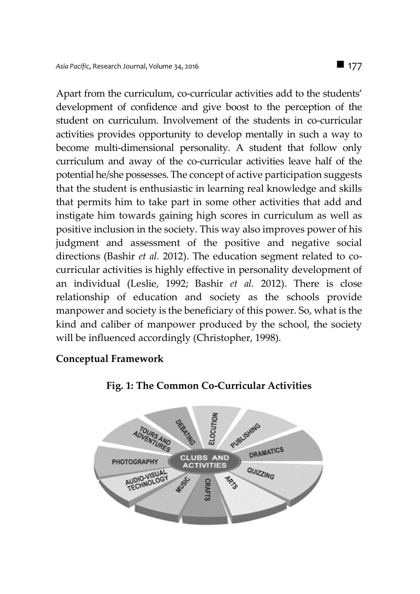Apart from the curriculum, co-curricular activities add to the students' development of confidence and give boost to the perception of the student on curriculum. Involvement of the students in co-curricular activities provides opportunity to develop mentally in such a way to become multi-dimensional personality. A student that follow only curriculum and away of the co-curricular activities leave half of the potential he/she possesses. The concept of active participation suggests that the student is enthusiastic in learning real knowledge and skills that permits him to take part in some other activities that add and instigate him towards gaining high scores in curriculum as well as positive inclusion in the society. This way also improves power of his judgment and assessment of the positive and negative social directions (Bashir *et al.* 2012). The education segment related to cocurricular activities is highly effective in personality development of an individual (Leslie, 1992; Bashir *et al.* 2012). There is close relationship of education and society as the schools provide manpower and society is the beneficiary of this power. So, what is the kind and caliber of manpower produced by the school, the society will be influenced accordingly (Christopher, 1998).

## **Conceptual Framework**



#### **Fig. 1: The Common Co-Curricular Activities**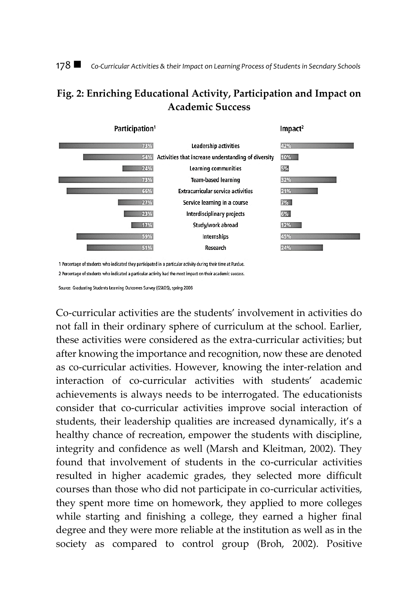178 *Co-Curricular Activities & their Impact on Learning Process of Students in Secndary Schools*

# **Fig. 2: Enriching Educational Activity, Participation and Impact on Academic Success**



1 Percentage of students who indicated they participated in a particular activity during their time at Purdue. 2 Percentage of students who indicated a particular activity had the most impact on their academic success.

Source: Graduating Students Learning Outcomes Survey (GSLOS), spring 2008

Co-curricular activities are the students' involvement in activities do not fall in their ordinary sphere of curriculum at the school. Earlier, these activities were considered as the extra-curricular activities; but after knowing the importance and recognition, now these are denoted as co-curricular activities. However, knowing the inter-relation and interaction of co-curricular activities with students' academic achievements is always needs to be interrogated. The educationists consider that co-curricular activities improve social interaction of students, their leadership qualities are increased dynamically, it's a healthy chance of recreation, empower the students with discipline, integrity and confidence as well (Marsh and Kleitman, 2002). They found that involvement of students in the co-curricular activities resulted in higher academic grades, they selected more difficult courses than those who did not participate in co-curricular activities, they spent more time on homework, they applied to more colleges while starting and finishing a college, they earned a higher final degree and they were more reliable at the institution as well as in the society as compared to control group (Broh, 2002). Positive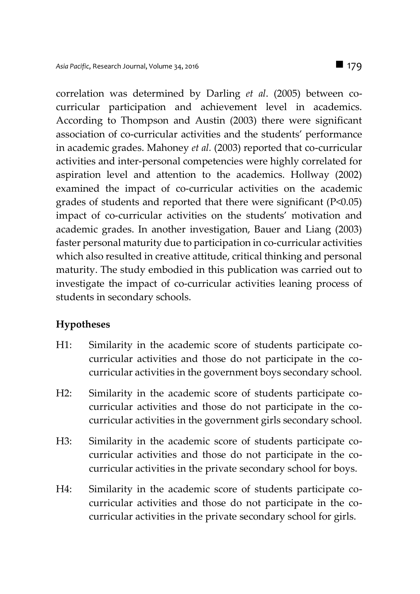correlation was determined by Darling *et al*. (2005) between cocurricular participation and achievement level in academics. According to Thompson and Austin (2003) there were significant association of co-curricular activities and the students' performance in academic grades. Mahoney *et al.* (2003) reported that co-curricular activities and inter-personal competencies were highly correlated for aspiration level and attention to the academics. Hollway (2002) examined the impact of co-curricular activities on the academic grades of students and reported that there were significant (P<0.05) impact of co-curricular activities on the students' motivation and academic grades. In another investigation, Bauer and Liang (2003) faster personal maturity due to participation in co-curricular activities which also resulted in creative attitude, critical thinking and personal maturity. The study embodied in this publication was carried out to investigate the impact of co-curricular activities leaning process of students in secondary schools.

## **Hypotheses**

- H1: Similarity in the academic score of students participate cocurricular activities and those do not participate in the cocurricular activities in the government boys secondary school.
- H2: Similarity in the academic score of students participate cocurricular activities and those do not participate in the cocurricular activities in the government girls secondary school.
- H3: Similarity in the academic score of students participate cocurricular activities and those do not participate in the cocurricular activities in the private secondary school for boys.
- H4: Similarity in the academic score of students participate cocurricular activities and those do not participate in the cocurricular activities in the private secondary school for girls.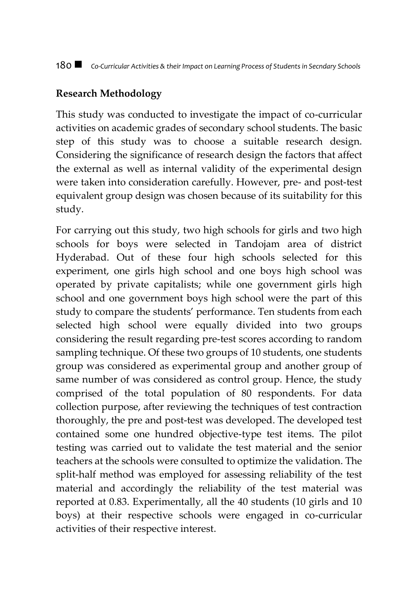## **Research Methodology**

This study was conducted to investigate the impact of co-curricular activities on academic grades of secondary school students. The basic step of this study was to choose a suitable research design. Considering the significance of research design the factors that affect the external as well as internal validity of the experimental design were taken into consideration carefully. However, pre- and post-test equivalent group design was chosen because of its suitability for this study.

For carrying out this study, two high schools for girls and two high schools for boys were selected in Tandojam area of district Hyderabad. Out of these four high schools selected for this experiment, one girls high school and one boys high school was operated by private capitalists; while one government girls high school and one government boys high school were the part of this study to compare the students' performance. Ten students from each selected high school were equally divided into two groups considering the result regarding pre-test scores according to random sampling technique. Of these two groups of 10 students, one students group was considered as experimental group and another group of same number of was considered as control group. Hence, the study comprised of the total population of 80 respondents. For data collection purpose, after reviewing the techniques of test contraction thoroughly, the pre and post-test was developed. The developed test contained some one hundred objective-type test items. The pilot testing was carried out to validate the test material and the senior teachers at the schools were consulted to optimize the validation. The split-half method was employed for assessing reliability of the test material and accordingly the reliability of the test material was reported at 0.83. Experimentally, all the 40 students (10 girls and 10 boys) at their respective schools were engaged in co-curricular activities of their respective interest.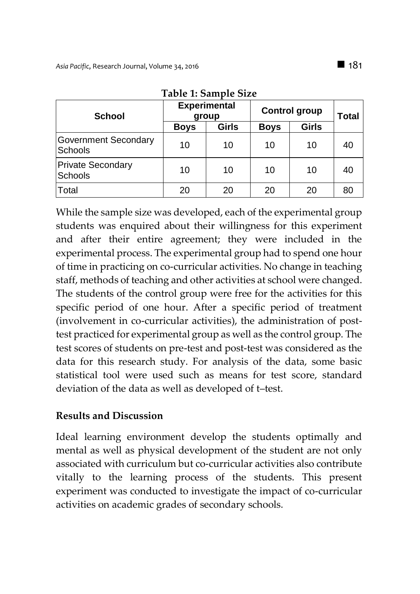| <b>School</b>                          | <b>Experimental</b><br>group |       | <b>Control group</b> | <b>Total</b> |    |
|----------------------------------------|------------------------------|-------|----------------------|--------------|----|
|                                        | <b>Boys</b>                  | Girls | <b>Boys</b>          | Girls        |    |
| <b>Government Secondary</b><br>Schools | 10                           | 10    | 10                   | 10           | 40 |
| <b>Private Secondary</b><br>Schools    | 10                           | 10    | 10                   | 10           | 40 |
| Total                                  | 20                           | 20    | 20                   | 20           | 80 |

**Table 1: Sample Size**

While the sample size was developed, each of the experimental group students was enquired about their willingness for this experiment and after their entire agreement; they were included in the experimental process. The experimental group had to spend one hour of time in practicing on co-curricular activities. No change in teaching staff, methods of teaching and other activities at school were changed. The students of the control group were free for the activities for this specific period of one hour. After a specific period of treatment (involvement in co-curricular activities), the administration of posttest practiced for experimental group as well as the control group. The test scores of students on pre-test and post-test was considered as the data for this research study. For analysis of the data, some basic statistical tool were used such as means for test score, standard deviation of the data as well as developed of t–test.

## **Results and Discussion**

Ideal learning environment develop the students optimally and mental as well as physical development of the student are not only associated with curriculum but co-curricular activities also contribute vitally to the learning process of the students. This present experiment was conducted to investigate the impact of co-curricular activities on academic grades of secondary schools.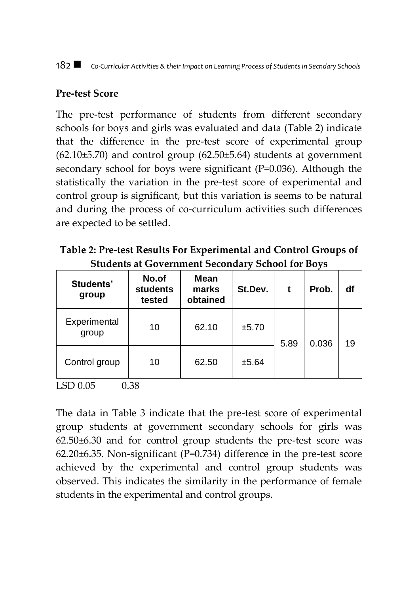#### 182 *Co-Curricular Activities & their Impact on Learning Process of Students in Secndary Schools*

### **Pre-test Score**

The pre-test performance of students from different secondary schools for boys and girls was evaluated and data (Table 2) indicate that the difference in the pre-test score of experimental group  $(62.10±5.70)$  and control group  $(62.50±5.64)$  students at government secondary school for boys were significant (P=0.036). Although the statistically the variation in the pre-test score of experimental and control group is significant, but this variation is seems to be natural and during the process of co-curriculum activities such differences are expected to be settled.

**Table 2: Pre-test Results For Experimental and Control Groups of Students at Government Secondary School for Boys**

| Students'<br>group    | No.of<br><b>students</b><br>tested | Mean<br>marks<br>obtained | St.Dev. |      | Prob. | df |
|-----------------------|------------------------------------|---------------------------|---------|------|-------|----|
| Experimental<br>group | 10                                 | 62.10                     | ±5.70   | 5.89 | 0.036 | 19 |
| Control group         | 10                                 | 62.50                     | ±5.64   |      |       |    |

LSD 0.05 0.38

The data in Table 3 indicate that the pre-test score of experimental group students at government secondary schools for girls was 62.50±6.30 and for control group students the pre-test score was 62.20±6.35. Non-significant (P=0.734) difference in the pre-test score achieved by the experimental and control group students was observed. This indicates the similarity in the performance of female students in the experimental and control groups.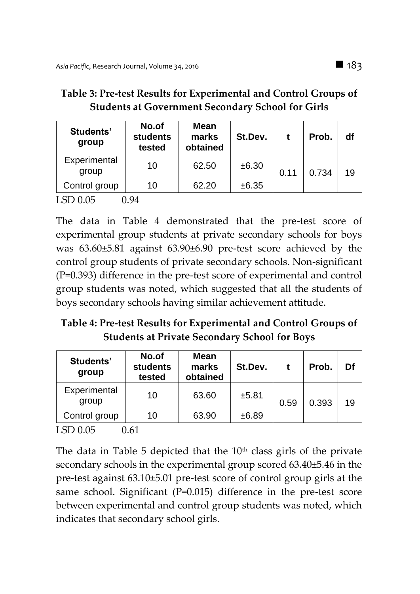| Students'<br>group    | No.of<br>students<br>tested | Mean<br>marks<br>obtained | St.Dev. |      | Prob. | df |
|-----------------------|-----------------------------|---------------------------|---------|------|-------|----|
| Experimental<br>group | 10                          | 62.50                     | ±6.30   | 0.11 | 0.734 | 19 |
| Control group         | 10                          | 62.20                     | ±6.35   |      |       |    |
| LSD 0.05              | 1.94                        |                           |         |      |       |    |

## **Table 3: Pre-test Results for Experimental and Control Groups of Students at Government Secondary School for Girls**

The data in Table 4 demonstrated that the pre-test score of experimental group students at private secondary schools for boys was 63.60±5.81 against 63.90±6.90 pre-test score achieved by the control group students of private secondary schools. Non-significant (P=0.393) difference in the pre-test score of experimental and control group students was noted, which suggested that all the students of boys secondary schools having similar achievement attitude.

# **Table 4: Pre-test Results for Experimental and Control Groups of Students at Private Secondary School for Boys**

| Students'<br>group          | No.of<br><b>students</b><br>tested | Mean<br>marks<br>obtained | St.Dev. |      | Prob. | Df |
|-----------------------------|------------------------------------|---------------------------|---------|------|-------|----|
| Experimental<br>group       | 10                                 | 63.60                     | ±5.81   | 0.59 | 0.393 | 19 |
| Control group               | 10                                 | 63.90                     | ±6.89   |      |       |    |
| $\sim$ $\sim$ $\sim$ $\sim$ | ---                                |                           |         |      |       |    |

LSD 0.05 0.61

The data in Table 5 depicted that the  $10<sup>th</sup>$  class girls of the private secondary schools in the experimental group scored 63.40±5.46 in the pre-test against 63.10±5.01 pre-test score of control group girls at the same school. Significant (P=0.015) difference in the pre-test score between experimental and control group students was noted, which indicates that secondary school girls.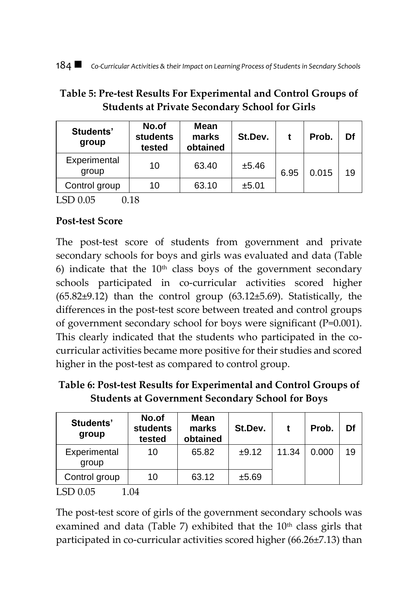## **Table 5: Pre-test Results For Experimental and Control Groups of Students at Private Secondary School for Girls**

| Students'<br>group    | No.of<br><b>students</b><br>tested | <b>Mean</b><br>marks<br>obtained | St.Dev. |      | Prob. | Df |
|-----------------------|------------------------------------|----------------------------------|---------|------|-------|----|
| Experimental<br>group | 10                                 | 63.40                            | ±5.46   | 6.95 | 0.015 | 19 |
| Control group         | 10                                 | 63.10                            | ±5.01   |      |       |    |

 $LSD 0.05$  0.18

## **Post-test Score**

The post-test score of students from government and private secondary schools for boys and girls was evaluated and data (Table 6) indicate that the  $10<sup>th</sup>$  class boys of the government secondary schools participated in co-curricular activities scored higher  $(65.82\pm9.12)$  than the control group  $(63.12\pm5.69)$ . Statistically, the differences in the post-test score between treated and control groups of government secondary school for boys were significant (P=0.001). This clearly indicated that the students who participated in the cocurricular activities became more positive for their studies and scored higher in the post-test as compared to control group.

**Table 6: Post-test Results for Experimental and Control Groups of Students at Government Secondary School for Boys**

| Students'<br>group    | No.of<br><b>students</b><br>tested | Mean<br>marks<br>obtained | St.Dev. |       | Prob. | Df |
|-----------------------|------------------------------------|---------------------------|---------|-------|-------|----|
| Experimental<br>group | 10                                 | 65.82                     | ±9.12   | 11.34 | 0.000 | 19 |
| Control group         | 10                                 | 63.12                     | ±5.69   |       |       |    |
| $LSD$ 0.05            | .04                                |                           |         |       |       |    |

The post-test score of girls of the government secondary schools was examined and data (Table 7) exhibited that the  $10<sup>th</sup>$  class girls that participated in co-curricular activities scored higher (66.26±7.13) than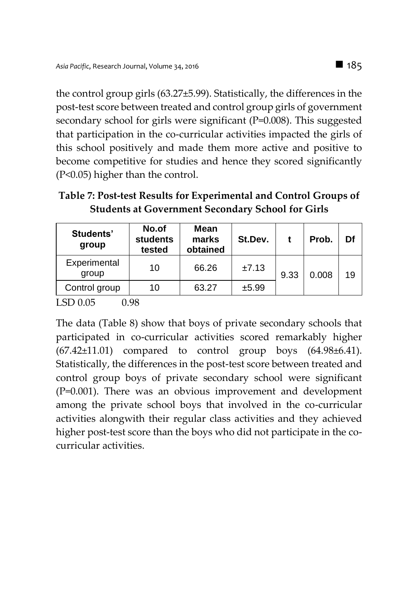the control group girls (63.27±5.99). Statistically, the differences in the post-test score between treated and control group girls of government secondary school for girls were significant (P=0.008). This suggested that participation in the co-curricular activities impacted the girls of this school positively and made them more active and positive to become competitive for studies and hence they scored significantly (P<0.05) higher than the control.

**Table 7: Post-test Results for Experimental and Control Groups of Students at Government Secondary School for Girls**

| Students'<br>group    | No.of<br><b>students</b><br>tested | <b>Mean</b><br>marks<br>obtained | St.Dev. |      | Prob. | Df |
|-----------------------|------------------------------------|----------------------------------|---------|------|-------|----|
| Experimental<br>group | 10                                 | 66.26                            | ±7.13   | 9.33 | 0.008 | 19 |
| Control group         | 10                                 | 63.27                            | ±5.99   |      |       |    |
|                       |                                    |                                  |         |      |       |    |

LSD 0.05 0.98

The data (Table 8) show that boys of private secondary schools that participated in co-curricular activities scored remarkably higher (67.42±11.01) compared to control group boys (64.98±6.41). Statistically, the differences in the post-test score between treated and control group boys of private secondary school were significant (P=0.001). There was an obvious improvement and development among the private school boys that involved in the co-curricular activities alongwith their regular class activities and they achieved higher post-test score than the boys who did not participate in the cocurricular activities.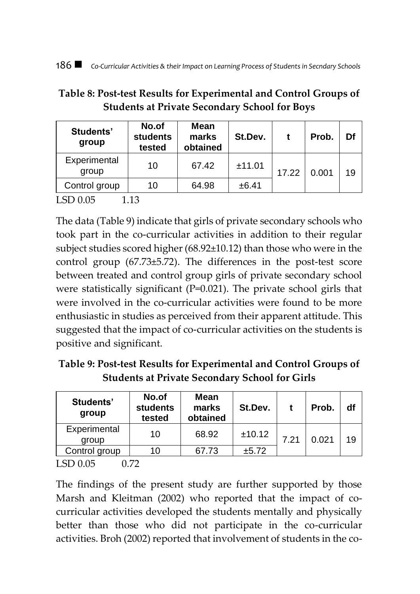# **Table 8: Post-test Results for Experimental and Control Groups of Students at Private Secondary School for Boys**

| Students'<br>group    | No.of<br><b>students</b><br>tested | Mean<br>marks<br>obtained | St.Dev. |       | Prob. | Df |
|-----------------------|------------------------------------|---------------------------|---------|-------|-------|----|
| Experimental<br>group | 10                                 | 67.42                     | ±11.01  | 17.22 | 0.001 | 19 |
| Control group         | 10                                 | 64.98                     | ±6.41   |       |       |    |
| LSD 0.05              | 1.3                                |                           |         |       |       |    |

The data (Table 9) indicate that girls of private secondary schools who took part in the co-curricular activities in addition to their regular subject studies scored higher (68.92±10.12) than those who were in the control group (67.73±5.72). The differences in the post-test score between treated and control group girls of private secondary school were statistically significant (P=0.021). The private school girls that were involved in the co-curricular activities were found to be more enthusiastic in studies as perceived from their apparent attitude. This suggested that the impact of co-curricular activities on the students is positive and significant.

**Table 9: Post-test Results for Experimental and Control Groups of Students at Private Secondary School for Girls**

| Students'<br>group    | No.of<br>students<br>tested | Mean<br>marks<br>obtained | St.Dev. |      | Prob. | df |
|-----------------------|-----------------------------|---------------------------|---------|------|-------|----|
| Experimental<br>group | 10                          | 68.92                     | ±10.12  | 7.21 | 0.021 | 19 |
| Control group         | 10                          | 67.73                     | ±5.72   |      |       |    |
| TCDAD                 | $\cap$ $\Box$               |                           |         |      |       |    |

LSD 0.05 0.72

The findings of the present study are further supported by those Marsh and Kleitman (2002) who reported that the impact of cocurricular activities developed the students mentally and physically better than those who did not participate in the co-curricular activities. Broh (2002) reported that involvement of students in the co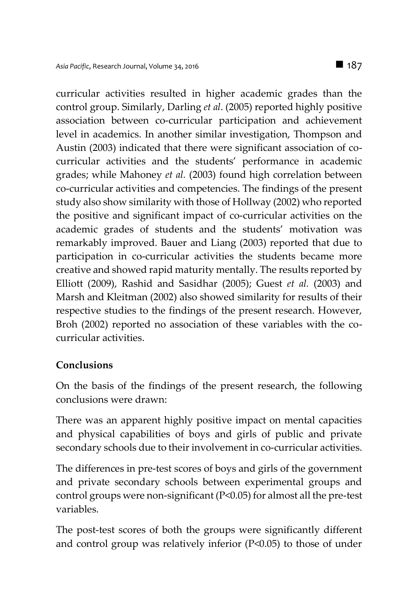curricular activities resulted in higher academic grades than the control group. Similarly, Darling *et al*. (2005) reported highly positive association between co-curricular participation and achievement level in academics. In another similar investigation, Thompson and Austin (2003) indicated that there were significant association of cocurricular activities and the students' performance in academic grades; while Mahoney *et al.* (2003) found high correlation between co-curricular activities and competencies. The findings of the present study also show similarity with those of Hollway (2002) who reported the positive and significant impact of co-curricular activities on the academic grades of students and the students' motivation was remarkably improved. Bauer and Liang (2003) reported that due to participation in co-curricular activities the students became more creative and showed rapid maturity mentally. The results reported by Elliott (2009), Rashid and Sasidhar (2005); Guest *et al.* (2003) and Marsh and Kleitman (2002) also showed similarity for results of their respective studies to the findings of the present research. However, Broh (2002) reported no association of these variables with the cocurricular activities.

## **Conclusions**

On the basis of the findings of the present research, the following conclusions were drawn:

There was an apparent highly positive impact on mental capacities and physical capabilities of boys and girls of public and private secondary schools due to their involvement in co-curricular activities.

The differences in pre-test scores of boys and girls of the government and private secondary schools between experimental groups and control groups were non-significant (P<0.05) for almost all the pre-test variables.

The post-test scores of both the groups were significantly different and control group was relatively inferior (P<0.05) to those of under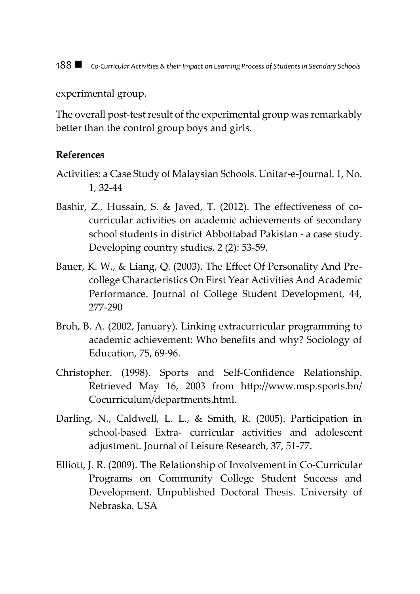188 *Co-Curricular Activities & their Impact on Learning Process of Students in Secndary Schools*

experimental group.

The overall post-test result of the experimental group was remarkably better than the control group boys and girls.

#### **References**

- Activities: a Case Study of Malaysian Schools. Unitar-e-Journal. 1, No. 1, 32-44
- Bashir, Z., Hussain, S. & Javed, T. (2012). The effectiveness of cocurricular activities on academic achievements of secondary school students in district Abbottabad Pakistan - a case study. Developing country studies, 2 (2): 53-59.
- Bauer, K. W., & Liang, Q. (2003). The Effect Of Personality And Precollege Characteristics On First Year Activities And Academic Performance. Journal of College Student Development, 44, 277-290
- Broh, B. A. (2002, January). Linking extracurricular programming to academic achievement: Who benefits and why? Sociology of Education, 75, 69-96.
- Christopher. (1998). Sports and Self-Confidence Relationship. Retrieved May 16, 2003 from http://www.msp.sports.bn/ Cocurriculum/departments.html.
- Darling, N., Caldwell, L. L., & Smith, R. (2005). Participation in school-based Extra- curricular activities and adolescent adjustment. Journal of Leisure Research, 37, 51-77.
- Elliott, J. R. (2009). The Relationship of Involvement in Co-Curricular Programs on Community College Student Success and Development. Unpublished Doctoral Thesis. University of Nebraska. USA